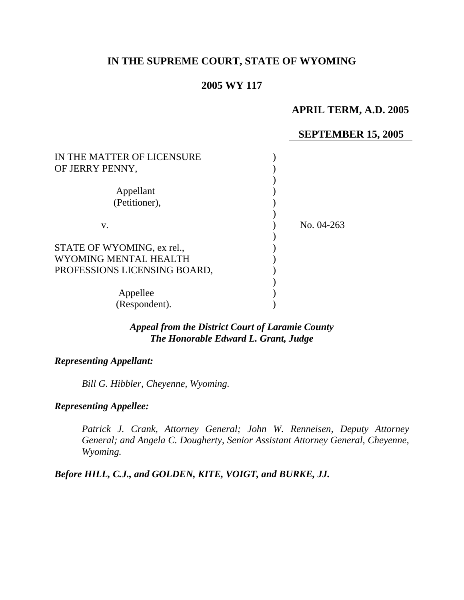# **IN THE SUPREME COURT, STATE OF WYOMING**

### **2005 WY 117**

### **APRIL TERM, A.D. 2005**

#### **SEPTEMBER 15, 2005**

| IN THE MATTER OF LICENSURE<br>OF JERRY PENNY, |            |
|-----------------------------------------------|------------|
| Appellant                                     |            |
| (Petitioner),                                 |            |
|                                               |            |
| V.                                            | No. 04-263 |
|                                               |            |
| STATE OF WYOMING, ex rel.,                    |            |
| WYOMING MENTAL HEALTH                         |            |
| PROFESSIONS LICENSING BOARD,                  |            |
|                                               |            |
| Appellee                                      |            |
| (Respondent).                                 |            |

### *Appeal from the District Court of Laramie County The Honorable Edward L. Grant, Judge*

### *Representing Appellant:*

*Bill G. Hibbler, Cheyenne, Wyoming.* 

### *Representing Appellee:*

*Patrick J. Crank, Attorney General; John W. Renneisen, Deputy Attorney General; and Angela C. Dougherty, Senior Assistant Attorney General, Cheyenne, Wyoming.* 

### *Before HILL, C.J., and GOLDEN, KITE, VOIGT, and BURKE, JJ.*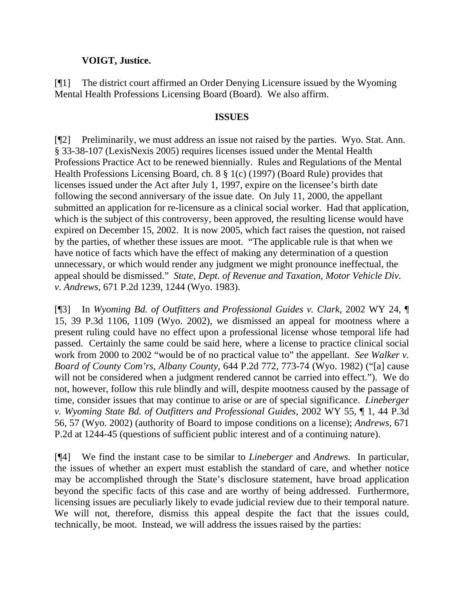### **VOIGT, Justice.**

[¶1] The district court affirmed an Order Denying Licensure issued by the Wyoming Mental Health Professions Licensing Board (Board). We also affirm.

#### **ISSUES**

[¶2] Preliminarily, we must address an issue not raised by the parties. Wyo. Stat. Ann. § 33-38-107 (LexisNexis 2005) requires licenses issued under the Mental Health Professions Practice Act to be renewed biennially. Rules and Regulations of the Mental Health Professions Licensing Board, ch. 8 § 1(c) (1997) (Board Rule) provides that licenses issued under the Act after July 1, 1997, expire on the licensee's birth date following the second anniversary of the issue date. On July 11, 2000, the appellant submitted an application for re-licensure as a clinical social worker. Had that application, which is the subject of this controversy, been approved, the resulting license would have expired on December 15, 2002. It is now 2005, which fact raises the question, not raised by the parties, of whether these issues are moot. "The applicable rule is that when we have notice of facts which have the effect of making any determination of a question unnecessary, or which would render any judgment we might pronounce ineffectual, the appeal should be dismissed." *State, Dept. of Revenue and Taxation, Motor Vehicle Div. v. Andrews,* 671 P.2d 1239, 1244 (Wyo. 1983).

[¶3] In *Wyoming Bd. of Outfitters and Professional Guides v. Clark, 2002 WY 24, ¶* 15, 39 P.3d 1106, 1109 (Wyo. 2002), we dismissed an appeal for mootness where a present ruling could have no effect upon a professional license whose temporal life had passed. Certainly the same could be said here, where a license to practice clinical social work from 2000 to 2002 "would be of no practical value to" the appellant. *See Walker v. Board of County Com'rs, Albany County,* 644 P.2d 772, 773-74 (Wyo. 1982) ("[a] cause will not be considered when a judgment rendered cannot be carried into effect."). We do not, however, follow this rule blindly and will, despite mootness caused by the passage of time, consider issues that may continue to arise or are of special significance. *Lineberger v. Wyoming State Bd. of Outfitters and Professional Guides,* 2002 WY 55, ¶ 1, 44 P.3d 56, 57 (Wyo. 2002) (authority of Board to impose conditions on a license); *Andrews,* 671 P.2d at 1244-45 (questions of sufficient public interest and of a continuing nature).

[¶4] We find the instant case to be similar to *Lineberger* and *Andrews.* In particular, the issues of whether an expert must establish the standard of care, and whether notice may be accomplished through the State's disclosure statement, have broad application beyond the specific facts of this case and are worthy of being addressed. Furthermore, licensing issues are peculiarly likely to evade judicial review due to their temporal nature. We will not, therefore, dismiss this appeal despite the fact that the issues could, technically, be moot. Instead, we will address the issues raised by the parties: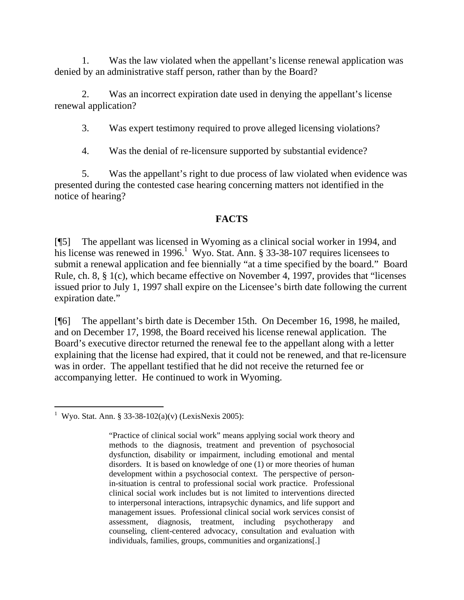1. Was the law violated when the appellant's license renewal application was denied by an administrative staff person, rather than by the Board?

 2. Was an incorrect expiration date used in denying the appellant's license renewal application?

3. Was expert testimony required to prove alleged licensing violations?

4. Was the denial of re-licensure supported by substantial evidence?

 5. Was the appellant's right to due process of law violated when evidence was presented during the contested case hearing concerning matters not identified in the notice of hearing?

# **FACTS**

[¶5] The appellant was licensed in Wyoming as a clinical social worker in 1994, and his license was renewed in [1](#page-2-0)996.<sup>1</sup> Wyo. Stat. Ann. § 33-38-107 requires licensees to submit a renewal application and fee biennially "at a time specified by the board." Board Rule, ch. 8, § 1(c), which became effective on November 4, 1997, provides that "licenses issued prior to July 1, 1997 shall expire on the Licensee's birth date following the current expiration date."

[¶6] The appellant's birth date is December 15th. On December 16, 1998, he mailed, and on December 17, 1998, the Board received his license renewal application. The Board's executive director returned the renewal fee to the appellant along with a letter explaining that the license had expired, that it could not be renewed, and that re-licensure was in order. The appellant testified that he did not receive the returned fee or accompanying letter. He continued to work in Wyoming.

<span id="page-2-0"></span> $\overline{a}$ <sup>1</sup> Wyo. Stat. Ann. § 33-38-102(a)(v) (LexisNexis 2005):

<sup>&</sup>quot;Practice of clinical social work" means applying social work theory and methods to the diagnosis, treatment and prevention of psychosocial dysfunction, disability or impairment, including emotional and mental disorders. It is based on knowledge of one (1) or more theories of human development within a psychosocial context. The perspective of personin-situation is central to professional social work practice. Professional clinical social work includes but is not limited to interventions directed to interpersonal interactions, intrapsychic dynamics, and life support and management issues. Professional clinical social work services consist of assessment, diagnosis, treatment, including psychotherapy and counseling, client-centered advocacy, consultation and evaluation with individuals, families, groups, communities and organizations[.]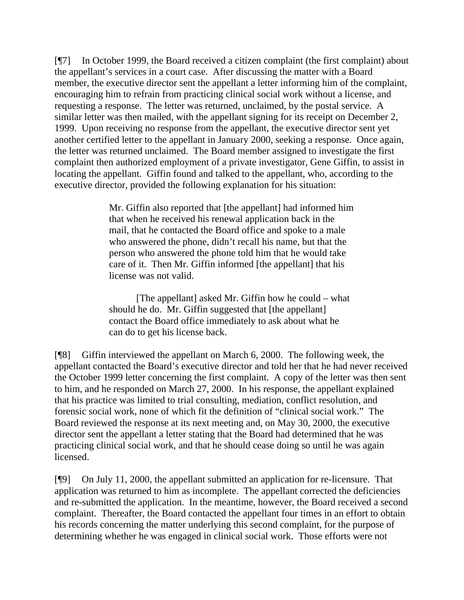[¶7] In October 1999, the Board received a citizen complaint (the first complaint) about the appellant's services in a court case. After discussing the matter with a Board member, the executive director sent the appellant a letter informing him of the complaint, encouraging him to refrain from practicing clinical social work without a license, and requesting a response. The letter was returned, unclaimed, by the postal service. A similar letter was then mailed, with the appellant signing for its receipt on December 2, 1999. Upon receiving no response from the appellant, the executive director sent yet another certified letter to the appellant in January 2000, seeking a response. Once again, the letter was returned unclaimed. The Board member assigned to investigate the first complaint then authorized employment of a private investigator, Gene Giffin, to assist in locating the appellant. Giffin found and talked to the appellant, who, according to the executive director, provided the following explanation for his situation:

> Mr. Giffin also reported that [the appellant] had informed him that when he received his renewal application back in the mail, that he contacted the Board office and spoke to a male who answered the phone, didn't recall his name, but that the person who answered the phone told him that he would take care of it. Then Mr. Giffin informed [the appellant] that his license was not valid.

[The appellant] asked Mr. Giffin how he could – what should he do. Mr. Giffin suggested that [the appellant] contact the Board office immediately to ask about what he can do to get his license back.

[¶8] Giffin interviewed the appellant on March 6, 2000. The following week, the appellant contacted the Board's executive director and told her that he had never received the October 1999 letter concerning the first complaint. A copy of the letter was then sent to him, and he responded on March 27, 2000. In his response, the appellant explained that his practice was limited to trial consulting, mediation, conflict resolution, and forensic social work, none of which fit the definition of "clinical social work." The Board reviewed the response at its next meeting and, on May 30, 2000, the executive director sent the appellant a letter stating that the Board had determined that he was practicing clinical social work, and that he should cease doing so until he was again licensed.

[¶9] On July 11, 2000, the appellant submitted an application for re-licensure. That application was returned to him as incomplete. The appellant corrected the deficiencies and re-submitted the application. In the meantime, however, the Board received a second complaint. Thereafter, the Board contacted the appellant four times in an effort to obtain his records concerning the matter underlying this second complaint, for the purpose of determining whether he was engaged in clinical social work. Those efforts were not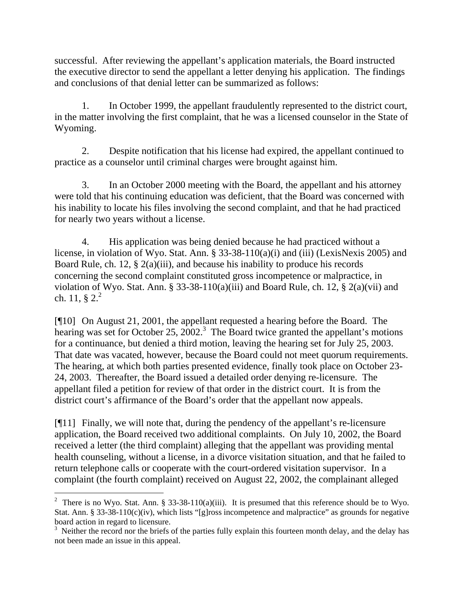successful. After reviewing the appellant's application materials, the Board instructed the executive director to send the appellant a letter denying his application. The findings and conclusions of that denial letter can be summarized as follows:

 1. In October 1999, the appellant fraudulently represented to the district court, in the matter involving the first complaint, that he was a licensed counselor in the State of Wyoming.

 2. Despite notification that his license had expired, the appellant continued to practice as a counselor until criminal charges were brought against him.

 3. In an October 2000 meeting with the Board, the appellant and his attorney were told that his continuing education was deficient, that the Board was concerned with his inability to locate his files involving the second complaint, and that he had practiced for nearly two years without a license.

 4. His application was being denied because he had practiced without a license, in violation of Wyo. Stat. Ann. § 33-38-110(a)(i) and (iii) (LexisNexis 2005) and Board Rule, ch. 12, § 2(a)(iii), and because his inability to produce his records concerning the second complaint constituted gross incompetence or malpractice, in violation of Wyo. Stat. Ann. § 33-38-110(a)(iii) and Board Rule, ch. 12, § 2(a)(vii) and ch. 11,  $\S 2^2$  $\S 2^2$  $\S 2^2$ 

[¶10] On August 21, 2001, the appellant requested a hearing before the Board. The hearing was set for October 25,  $2002$ .<sup>[3](#page-4-1)</sup> The Board twice granted the appellant's motions for a continuance, but denied a third motion, leaving the hearing set for July 25, 2003. That date was vacated, however, because the Board could not meet quorum requirements. The hearing, at which both parties presented evidence, finally took place on October 23- 24, 2003. Thereafter, the Board issued a detailed order denying re-licensure. The appellant filed a petition for review of that order in the district court. It is from the district court's affirmance of the Board's order that the appellant now appeals.

[¶11] Finally, we will note that, during the pendency of the appellant's re-licensure application, the Board received two additional complaints. On July 10, 2002, the Board received a letter (the third complaint) alleging that the appellant was providing mental health counseling, without a license, in a divorce visitation situation, and that he failed to return telephone calls or cooperate with the court-ordered visitation supervisor. In a complaint (the fourth complaint) received on August 22, 2002, the complainant alleged

<span id="page-4-0"></span><sup>&</sup>lt;sup>2</sup> There is no Wyo. Stat. Ann. § 33-38-110(a)(iii). It is presumed that this reference should be to Wyo. Stat. Ann. § 33-38-110(c)(iv), which lists "[g]ross incompetence and malpractice" as grounds for negative board action in regard to licensure.

<span id="page-4-1"></span> $3$  Neither the record nor the briefs of the parties fully explain this fourteen month delay, and the delay has not been made an issue in this appeal.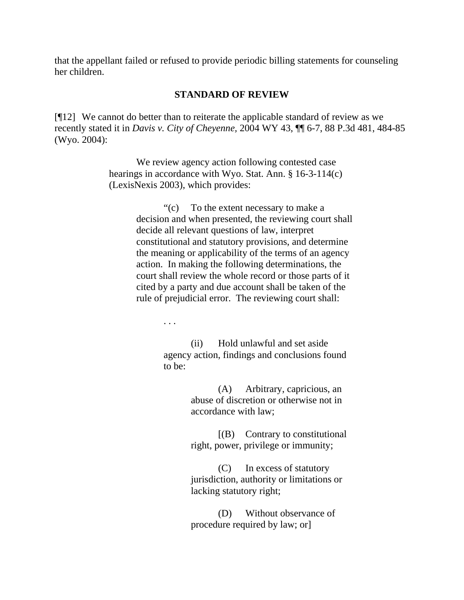that the appellant failed or refused to provide periodic billing statements for counseling her children.

#### **STANDARD OF REVIEW**

[¶12] We cannot do better than to reiterate the applicable standard of review as we recently stated it in *Davis v. City of Cheyenne,* 2004 WY 43, ¶¶ 6-7, 88 P.3d 481, 484-85 (Wyo. 2004):

> We review agency action following contested case hearings in accordance with Wyo. Stat. Ann. § 16-3-114(c) (LexisNexis 2003), which provides:

> > "(c) To the extent necessary to make a decision and when presented, the reviewing court shall decide all relevant questions of law, interpret constitutional and statutory provisions, and determine the meaning or applicability of the terms of an agency action. In making the following determinations, the court shall review the whole record or those parts of it cited by a party and due account shall be taken of the rule of prejudicial error. The reviewing court shall:

> > > . . .

(ii) Hold unlawful and set aside agency action, findings and conclusions found to be:

> (A) Arbitrary, capricious, an abuse of discretion or otherwise not in accordance with law;

[(B) Contrary to constitutional right, power, privilege or immunity;

(C) In excess of statutory jurisdiction, authority or limitations or lacking statutory right;

(D) Without observance of procedure required by law; or]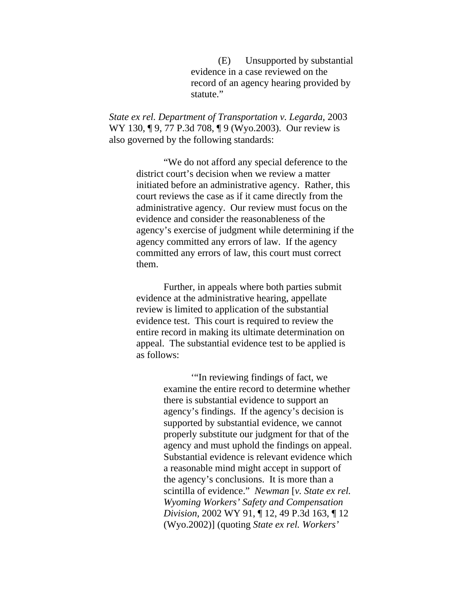(E) Unsupported by substantial evidence in a case reviewed on the record of an agency hearing provided by statute."

*State ex rel. Department of Transportation v. Legarda,* 2003 WY 130, ¶ 9, 77 P.3d 708, ¶ 9 (Wyo.2003). Our review is also governed by the following standards:

> "We do not afford any special deference to the district court's decision when we review a matter initiated before an administrative agency. Rather, this court reviews the case as if it came directly from the administrative agency. Our review must focus on the evidence and consider the reasonableness of the agency's exercise of judgment while determining if the agency committed any errors of law. If the agency committed any errors of law, this court must correct them.

 Further, in appeals where both parties submit evidence at the administrative hearing, appellate review is limited to application of the substantial evidence test. This court is required to review the entire record in making its ultimate determination on appeal. The substantial evidence test to be applied is as follows:

> '"In reviewing findings of fact, we examine the entire record to determine whether there is substantial evidence to support an agency's findings. If the agency's decision is supported by substantial evidence, we cannot properly substitute our judgment for that of the agency and must uphold the findings on appeal. Substantial evidence is relevant evidence which a reasonable mind might accept in support of the agency's conclusions. It is more than a scintilla of evidence." *Newman* [*v. State ex rel. Wyoming Workers' Safety and Compensation Division,* 2002 WY 91, ¶ 12, 49 P.3d 163, ¶ 12 (Wyo.2002)] (quoting *State ex rel. Workers'*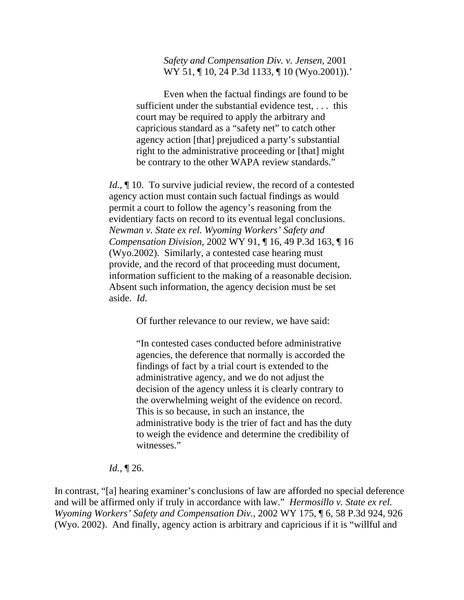*Safety and Compensation Div. v. Jensen,* 2001 WY 51, 10, 24 P.3d 1133, 10 (Wyo.2001)).'

 Even when the factual findings are found to be sufficient under the substantial evidence test, . . . this court may be required to apply the arbitrary and capricious standard as a "safety net" to catch other agency action [that] prejudiced a party's substantial right to the administrative proceeding or [that] might be contrary to the other WAPA review standards."

*Id.*, **[10.** To survive judicial review, the record of a contested agency action must contain such factual findings as would permit a court to follow the agency's reasoning from the evidentiary facts on record to its eventual legal conclusions. *Newman v. State ex rel. Wyoming Workers' Safety and Compensation Division,* 2002 WY 91, ¶ 16, 49 P.3d 163, ¶ 16 (Wyo.2002). Similarly, a contested case hearing must provide, and the record of that proceeding must document, information sufficient to the making of a reasonable decision. Absent such information, the agency decision must be set aside. *Id.*

Of further relevance to our review, we have said:

"In contested cases conducted before administrative agencies, the deference that normally is accorded the findings of fact by a trial court is extended to the administrative agency, and we do not adjust the decision of the agency unless it is clearly contrary to the overwhelming weight of the evidence on record. This is so because, in such an instance, the administrative body is the trier of fact and has the duty to weigh the evidence and determine the credibility of witnesses."

#### *Id.,* ¶ 26.

In contrast, "[a] hearing examiner's conclusions of law are afforded no special deference and will be affirmed only if truly in accordance with law." *Hermosillo v. State ex rel. Wyoming Workers' Safety and Compensation Div.,* 2002 WY 175, ¶ 6, 58 P.3d 924, 926 (Wyo. 2002). And finally, agency action is arbitrary and capricious if it is "willful and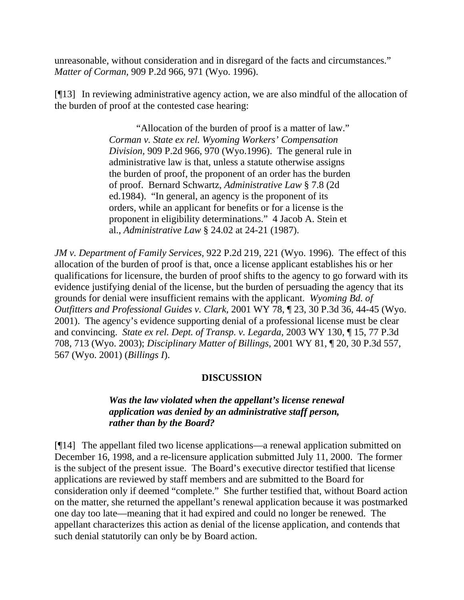unreasonable, without consideration and in disregard of the facts and circumstances." *Matter of Corman,* 909 P.2d 966, 971 (Wyo. 1996).

[¶13] In reviewing administrative agency action, we are also mindful of the allocation of the burden of proof at the contested case hearing:

> "Allocation of the burden of proof is a matter of law." *Corman v. State ex rel. Wyoming Workers' Compensation Division,* 909 P.2d 966, 970 (Wyo.1996). The general rule in administrative law is that, unless a statute otherwise assigns the burden of proof, the proponent of an order has the burden of proof. Bernard Schwartz*, Administrative Law* § 7.8 (2d ed.1984). "In general, an agency is the proponent of its orders, while an applicant for benefits or for a license is the proponent in eligibility determinations." 4 Jacob A. Stein et al., *Administrative Law* § 24.02 at 24-21 (1987).

*JM v. Department of Family Services,* 922 P.2d 219, 221 (Wyo. 1996). The effect of this allocation of the burden of proof is that, once a license applicant establishes his or her qualifications for licensure, the burden of proof shifts to the agency to go forward with its evidence justifying denial of the license, but the burden of persuading the agency that its grounds for denial were insufficient remains with the applicant. *Wyoming Bd. of Outfitters and Professional Guides v. Clark,* 2001 WY 78, ¶ 23, 30 P.3d 36, 44-45 (Wyo. 2001). The agency's evidence supporting denial of a professional license must be clear and convincing. *State ex rel. Dept. of Transp. v. Legarda,* 2003 WY 130, ¶ 15, 77 P.3d 708, 713 (Wyo. 2003); *Disciplinary Matter of Billings,* 2001 WY 81, ¶ 20, 30 P.3d 557, 567 (Wyo. 2001) (*Billings I*).

### **DISCUSSION**

### *Was the law violated when the appellant's license renewal application was denied by an administrative staff person, rather than by the Board?*

[¶14] The appellant filed two license applications—a renewal application submitted on December 16, 1998, and a re-licensure application submitted July 11, 2000. The former is the subject of the present issue. The Board's executive director testified that license applications are reviewed by staff members and are submitted to the Board for consideration only if deemed "complete." She further testified that, without Board action on the matter, she returned the appellant's renewal application because it was postmarked one day too late—meaning that it had expired and could no longer be renewed. The appellant characterizes this action as denial of the license application, and contends that such denial statutorily can only be by Board action.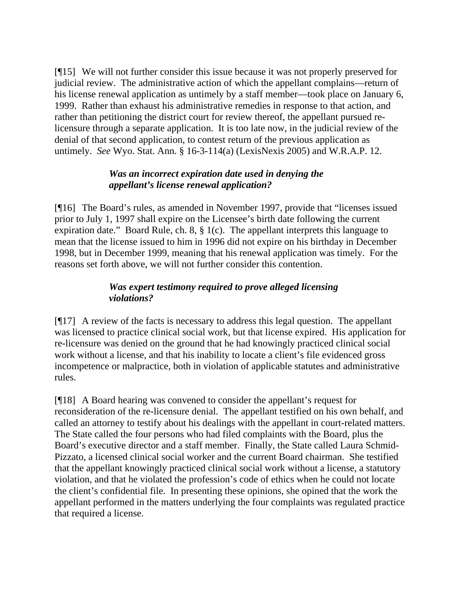[¶15] We will not further consider this issue because it was not properly preserved for judicial review. The administrative action of which the appellant complains—return of his license renewal application as untimely by a staff member—took place on January 6, 1999. Rather than exhaust his administrative remedies in response to that action, and rather than petitioning the district court for review thereof, the appellant pursued relicensure through a separate application. It is too late now, in the judicial review of the denial of that second application, to contest return of the previous application as untimely. *See* Wyo. Stat. Ann. § 16-3-114(a) (LexisNexis 2005) and W.R.A.P. 12.

### *Was an incorrect expiration date used in denying the appellant's license renewal application?*

[¶16] The Board's rules, as amended in November 1997, provide that "licenses issued prior to July 1, 1997 shall expire on the Licensee's birth date following the current expiration date." Board Rule, ch. 8, § 1(c). The appellant interprets this language to mean that the license issued to him in 1996 did not expire on his birthday in December 1998, but in December 1999, meaning that his renewal application was timely. For the reasons set forth above, we will not further consider this contention.

# *Was expert testimony required to prove alleged licensing violations?*

[¶17] A review of the facts is necessary to address this legal question. The appellant was licensed to practice clinical social work, but that license expired. His application for re-licensure was denied on the ground that he had knowingly practiced clinical social work without a license, and that his inability to locate a client's file evidenced gross incompetence or malpractice, both in violation of applicable statutes and administrative rules.

[¶18] A Board hearing was convened to consider the appellant's request for reconsideration of the re-licensure denial. The appellant testified on his own behalf, and called an attorney to testify about his dealings with the appellant in court-related matters. The State called the four persons who had filed complaints with the Board, plus the Board's executive director and a staff member. Finally, the State called Laura Schmid-Pizzato, a licensed clinical social worker and the current Board chairman. She testified that the appellant knowingly practiced clinical social work without a license, a statutory violation, and that he violated the profession's code of ethics when he could not locate the client's confidential file. In presenting these opinions, she opined that the work the appellant performed in the matters underlying the four complaints was regulated practice that required a license.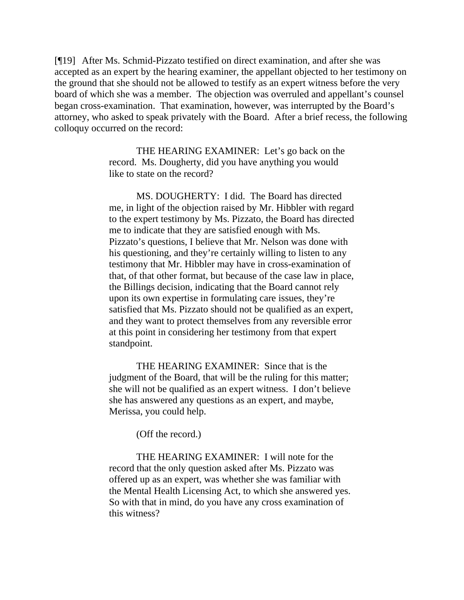[¶19] After Ms. Schmid-Pizzato testified on direct examination, and after she was accepted as an expert by the hearing examiner, the appellant objected to her testimony on the ground that she should not be allowed to testify as an expert witness before the very board of which she was a member. The objection was overruled and appellant's counsel began cross-examination. That examination, however, was interrupted by the Board's attorney, who asked to speak privately with the Board. After a brief recess, the following colloquy occurred on the record:

> THE HEARING EXAMINER: Let's go back on the record. Ms. Dougherty, did you have anything you would like to state on the record?

MS. DOUGHERTY: I did. The Board has directed me, in light of the objection raised by Mr. Hibbler with regard to the expert testimony by Ms. Pizzato, the Board has directed me to indicate that they are satisfied enough with Ms. Pizzato's questions, I believe that Mr. Nelson was done with his questioning, and they're certainly willing to listen to any testimony that Mr. Hibbler may have in cross-examination of that, of that other format, but because of the case law in place, the Billings decision, indicating that the Board cannot rely upon its own expertise in formulating care issues, they're satisfied that Ms. Pizzato should not be qualified as an expert, and they want to protect themselves from any reversible error at this point in considering her testimony from that expert standpoint.

THE HEARING EXAMINER: Since that is the judgment of the Board, that will be the ruling for this matter; she will not be qualified as an expert witness. I don't believe she has answered any questions as an expert, and maybe, Merissa, you could help.

(Off the record.)

THE HEARING EXAMINER: I will note for the record that the only question asked after Ms. Pizzato was offered up as an expert, was whether she was familiar with the Mental Health Licensing Act, to which she answered yes. So with that in mind, do you have any cross examination of this witness?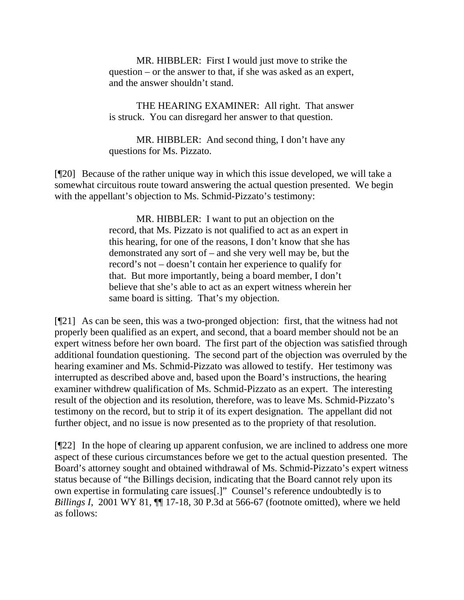MR. HIBBLER: First I would just move to strike the question – or the answer to that, if she was asked as an expert, and the answer shouldn't stand.

THE HEARING EXAMINER: All right. That answer is struck. You can disregard her answer to that question.

MR. HIBBLER: And second thing, I don't have any questions for Ms. Pizzato.

[¶20] Because of the rather unique way in which this issue developed, we will take a somewhat circuitous route toward answering the actual question presented. We begin with the appellant's objection to Ms. Schmid-Pizzato's testimony:

> MR. HIBBLER: I want to put an objection on the record, that Ms. Pizzato is not qualified to act as an expert in this hearing, for one of the reasons, I don't know that she has demonstrated any sort of – and she very well may be, but the record's not – doesn't contain her experience to qualify for that. But more importantly, being a board member, I don't believe that she's able to act as an expert witness wherein her same board is sitting. That's my objection.

[¶21] As can be seen, this was a two-pronged objection: first, that the witness had not properly been qualified as an expert, and second, that a board member should not be an expert witness before her own board. The first part of the objection was satisfied through additional foundation questioning. The second part of the objection was overruled by the hearing examiner and Ms. Schmid-Pizzato was allowed to testify. Her testimony was interrupted as described above and, based upon the Board's instructions, the hearing examiner withdrew qualification of Ms. Schmid-Pizzato as an expert. The interesting result of the objection and its resolution, therefore, was to leave Ms. Schmid-Pizzato's testimony on the record, but to strip it of its expert designation. The appellant did not further object, and no issue is now presented as to the propriety of that resolution.

[¶22] In the hope of clearing up apparent confusion, we are inclined to address one more aspect of these curious circumstances before we get to the actual question presented. The Board's attorney sought and obtained withdrawal of Ms. Schmid-Pizzato's expert witness status because of "the Billings decision, indicating that the Board cannot rely upon its own expertise in formulating care issues[.]" Counsel's reference undoubtedly is to *Billings I*,2001 WY 81, ¶¶ 17-18, 30 P.3d at 566-67 (footnote omitted), where we held as follows: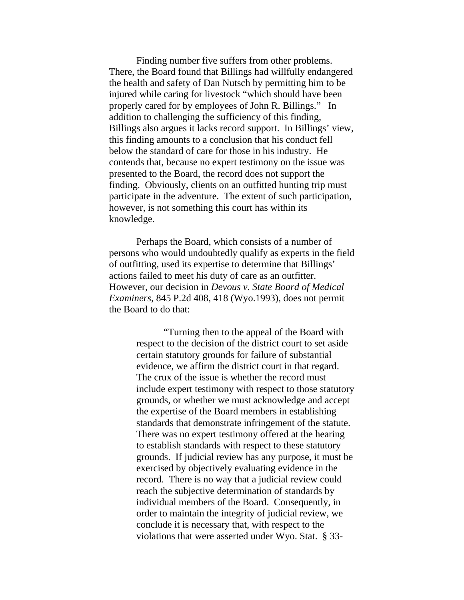Finding number five suffers from other problems. There, the Board found that Billings had willfully endangered the health and safety of Dan Nutsch by permitting him to be injured while caring for livestock "which should have been properly cared for by employees of John R. Billings." In addition to challenging the sufficiency of this finding, Billings also argues it lacks record support. In Billings' view, this finding amounts to a conclusion that his conduct fell below the standard of care for those in his industry. He contends that, because no expert testimony on the issue was presented to the Board, the record does not support the finding. Obviously, clients on an outfitted hunting trip must participate in the adventure. The extent of such participation, however, is not something this court has within its knowledge.

 Perhaps the Board, which consists of a number of persons who would undoubtedly qualify as experts in the field of outfitting, used its expertise to determine that Billings' actions failed to meet his duty of care as an outfitter. However, our decision in *Devous v. State Board of Medical Examiners*, 845 P.2d 408, 418 (Wyo.1993), does not permit the Board to do that:

> "Turning then to the appeal of the Board with respect to the decision of the district court to set aside certain statutory grounds for failure of substantial evidence, we affirm the district court in that regard. The crux of the issue is whether the record must include expert testimony with respect to those statutory grounds, or whether we must acknowledge and accept the expertise of the Board members in establishing standards that demonstrate infringement of the statute. There was no expert testimony offered at the hearing to establish standards with respect to these statutory grounds. If judicial review has any purpose, it must be exercised by objectively evaluating evidence in the record. There is no way that a judicial review could reach the subjective determination of standards by individual members of the Board. Consequently, in order to maintain the integrity of judicial review, we conclude it is necessary that, with respect to the violations that were asserted under Wyo. Stat. § 33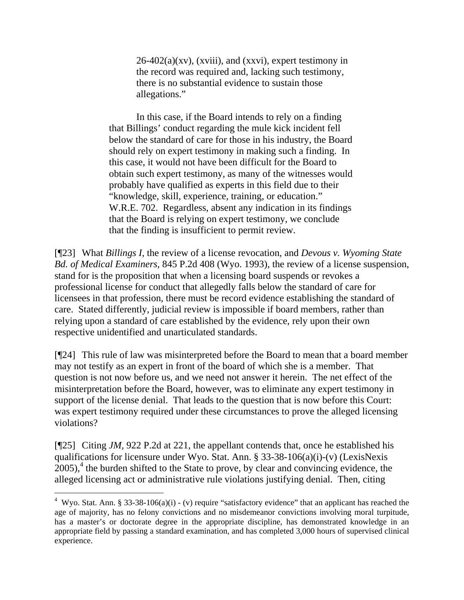$26-402(a)(xv)$ , (xviii), and (xxvi), expert testimony in the record was required and, lacking such testimony, there is no substantial evidence to sustain those allegations."

 In this case, if the Board intends to rely on a finding that Billings' conduct regarding the mule kick incident fell below the standard of care for those in his industry, the Board should rely on expert testimony in making such a finding. In this case, it would not have been difficult for the Board to obtain such expert testimony, as many of the witnesses would probably have qualified as experts in this field due to their "knowledge, skill, experience, training, or education." W.R.E. 702. Regardless, absent any indication in its findings that the Board is relying on expert testimony, we conclude that the finding is insufficient to permit review.

[¶23] What *Billings I,* the review of a license revocation, and *Devous v. Wyoming State Bd. of Medical Examiners*, 845 P.2d 408 (Wyo. 1993)*,* the review of a license suspension, stand for is the proposition that when a licensing board suspends or revokes a professional license for conduct that allegedly falls below the standard of care for licensees in that profession, there must be record evidence establishing the standard of care. Stated differently, judicial review is impossible if board members, rather than relying upon a standard of care established by the evidence, rely upon their own respective unidentified and unarticulated standards.

[¶24] This rule of law was misinterpreted before the Board to mean that a board member may not testify as an expert in front of the board of which she is a member. That question is not now before us, and we need not answer it herein. The net effect of the misinterpretation before the Board, however, was to eliminate any expert testimony in support of the license denial. That leads to the question that is now before this Court: was expert testimony required under these circumstances to prove the alleged licensing violations?

[¶25] Citing *JM,* 922 P.2d at 221, the appellant contends that, once he established his qualifications for licensure under Wyo. Stat. Ann. § 33-38-106(a)(i)-(v) (LexisNexis  $2005$ ,<sup>[4](#page-13-0)</sup> the burden shifted to the State to prove, by clear and convincing evidence, the alleged licensing act or administrative rule violations justifying denial. Then, citing

<span id="page-13-0"></span><sup>&</sup>lt;sup>4</sup> Wyo. Stat. Ann. § 33-38-106(a)(i) - (v) require "satisfactory evidence" that an applicant has reached the age of majority, has no felony convictions and no misdemeanor convictions involving moral turpitude, has a master's or doctorate degree in the appropriate discipline, has demonstrated knowledge in an appropriate field by passing a standard examination, and has completed 3,000 hours of supervised clinical experience.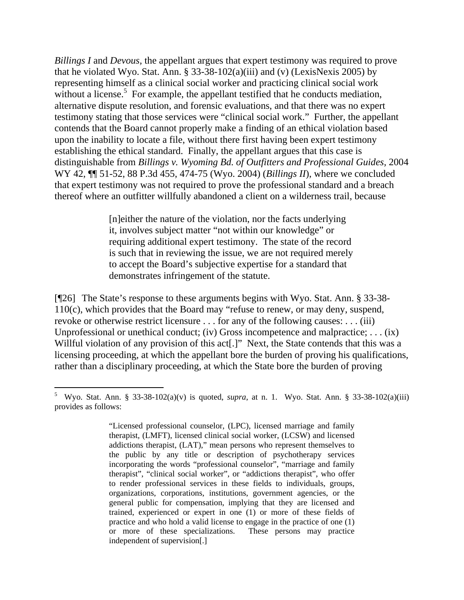*Billings I* and *Devous,* the appellant argues that expert testimony was required to prove that he violated Wyo. Stat. Ann.  $\S$  33-38-102(a)(iii) and (v) (LexisNexis 2005) by representing himself as a clinical social worker and practicing clinical social work without a license.<sup>[5](#page-14-0)</sup> For example, the appellant testified that he conducts mediation, alternative dispute resolution, and forensic evaluations, and that there was no expert testimony stating that those services were "clinical social work." Further, the appellant contends that the Board cannot properly make a finding of an ethical violation based upon the inability to locate a file, without there first having been expert testimony establishing the ethical standard. Finally, the appellant argues that this case is distinguishable from *Billings v. Wyoming Bd. of Outfitters and Professional Guides,* 2004 WY 42, ¶¶ 51-52, 88 P.3d 455, 474-75 (Wyo. 2004) (*Billings II*), where we concluded that expert testimony was not required to prove the professional standard and a breach thereof where an outfitter willfully abandoned a client on a wilderness trail, because

> [n]either the nature of the violation, nor the facts underlying it, involves subject matter "not within our knowledge" or requiring additional expert testimony. The state of the record is such that in reviewing the issue, we are not required merely to accept the Board's subjective expertise for a standard that demonstrates infringement of the statute.

[¶26] The State's response to these arguments begins with Wyo. Stat. Ann. § 33-38- 110(c), which provides that the Board may "refuse to renew, or may deny, suspend, revoke or otherwise restrict licensure . . . for any of the following causes: . . . (iii) Unprofessional or unethical conduct; (iv) Gross incompetence and malpractice; ... (ix) Willful violation of any provision of this act[.]" Next, the State contends that this was a licensing proceeding, at which the appellant bore the burden of proving his qualifications, rather than a disciplinary proceeding, at which the State bore the burden of proving

 $\overline{a}$ 

<span id="page-14-0"></span><sup>5</sup> Wyo. Stat. Ann. § 33-38-102(a)(v) is quoted, *supra*, at n. 1. Wyo. Stat. Ann. § 33-38-102(a)(iii) provides as follows:

<sup>&</sup>quot;Licensed professional counselor, (LPC), licensed marriage and family therapist, (LMFT), licensed clinical social worker, (LCSW) and licensed addictions therapist, (LAT)," mean persons who represent themselves to the public by any title or description of psychotherapy services incorporating the words "professional counselor", "marriage and family therapist", "clinical social worker", or "addictions therapist", who offer to render professional services in these fields to individuals, groups, organizations, corporations, institutions, government agencies, or the general public for compensation, implying that they are licensed and trained, experienced or expert in one (1) or more of these fields of practice and who hold a valid license to engage in the practice of one (1) or more of these specializations. These persons may practice independent of supervision[.]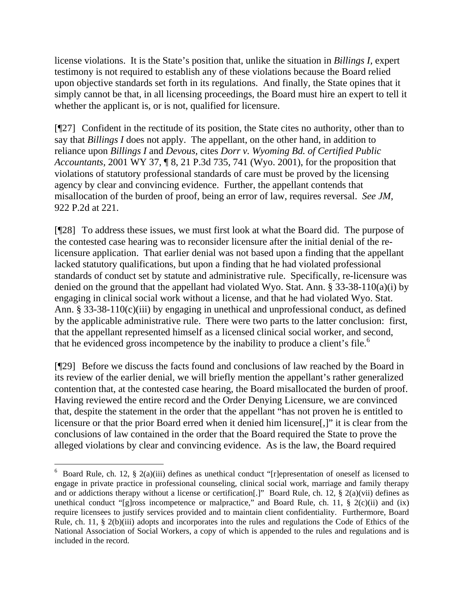license violations. It is the State's position that, unlike the situation in *Billings I,* expert testimony is not required to establish any of these violations because the Board relied upon objective standards set forth in its regulations. And finally, the State opines that it simply cannot be that, in all licensing proceedings, the Board must hire an expert to tell it whether the applicant is, or is not, qualified for licensure.

[¶27] Confident in the rectitude of its position, the State cites no authority, other than to say that *Billings I* does not apply. The appellant, on the other hand, in addition to reliance upon *Billings I* and *Devous,* cites *Dorr v. Wyoming Bd. of Certified Public Accountants,* 2001 WY 37, ¶ 8, 21 P.3d 735, 741 (Wyo. 2001), for the proposition that violations of statutory professional standards of care must be proved by the licensing agency by clear and convincing evidence. Further, the appellant contends that misallocation of the burden of proof, being an error of law, requires reversal. *See JM,*  922 P.2d at 221.

[¶28] To address these issues, we must first look at what the Board did. The purpose of the contested case hearing was to reconsider licensure after the initial denial of the relicensure application. That earlier denial was not based upon a finding that the appellant lacked statutory qualifications, but upon a finding that he had violated professional standards of conduct set by statute and administrative rule. Specifically, re-licensure was denied on the ground that the appellant had violated Wyo. Stat. Ann. § 33-38-110(a)(i) by engaging in clinical social work without a license, and that he had violated Wyo. Stat. Ann. § 33-38-110(c)(iii) by engaging in unethical and unprofessional conduct, as defined by the applicable administrative rule. There were two parts to the latter conclusion: first, that the appellant represented himself as a licensed clinical social worker, and second, that he evidenced gross incompetence by the inability to produce a client's file.<sup>[6](#page-15-0)</sup>

[¶29] Before we discuss the facts found and conclusions of law reached by the Board in its review of the earlier denial, we will briefly mention the appellant's rather generalized contention that, at the contested case hearing, the Board misallocated the burden of proof. Having reviewed the entire record and the Order Denying Licensure, we are convinced that, despite the statement in the order that the appellant "has not proven he is entitled to licensure or that the prior Board erred when it denied him licensure[,]" it is clear from the conclusions of law contained in the order that the Board required the State to prove the alleged violations by clear and convincing evidence. As is the law, the Board required

 $\overline{a}$ 

<span id="page-15-0"></span><sup>&</sup>lt;sup>6</sup> Board Rule, ch. 12, § 2(a)(iii) defines as unethical conduct "[r]epresentation of oneself as licensed to engage in private practice in professional counseling, clinical social work, marriage and family therapy and or addictions therapy without a license or certification[.]" Board Rule, ch. 12, § 2(a)(vii) defines as unethical conduct "[g]ross incompetence or malpractice," and Board Rule, ch. 11,  $\S$  2(c)(ii) and (ix) require licensees to justify services provided and to maintain client confidentiality. Furthermore, Board Rule, ch. 11, § 2(b)(iii) adopts and incorporates into the rules and regulations the Code of Ethics of the National Association of Social Workers, a copy of which is appended to the rules and regulations and is included in the record.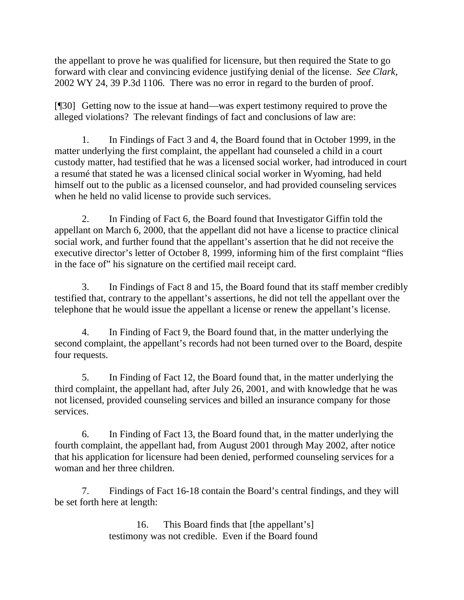the appellant to prove he was qualified for licensure, but then required the State to go forward with clear and convincing evidence justifying denial of the license. *See Clark,* 2002 WY 24, 39 P.3d 1106*.* There was no error in regard to the burden of proof.

[¶30] Getting now to the issue at hand—was expert testimony required to prove the alleged violations? The relevant findings of fact and conclusions of law are:

 1. In Findings of Fact 3 and 4, the Board found that in October 1999, in the matter underlying the first complaint, the appellant had counseled a child in a court custody matter, had testified that he was a licensed social worker, had introduced in court a resumé that stated he was a licensed clinical social worker in Wyoming, had held himself out to the public as a licensed counselor, and had provided counseling services when he held no valid license to provide such services.

2. In Finding of Fact 6, the Board found that Investigator Giffin told the appellant on March 6, 2000, that the appellant did not have a license to practice clinical social work, and further found that the appellant's assertion that he did not receive the executive director's letter of October 8, 1999, informing him of the first complaint "flies in the face of" his signature on the certified mail receipt card.

3. In Findings of Fact 8 and 15, the Board found that its staff member credibly testified that, contrary to the appellant's assertions, he did not tell the appellant over the telephone that he would issue the appellant a license or renew the appellant's license.

4. In Finding of Fact 9, the Board found that, in the matter underlying the second complaint, the appellant's records had not been turned over to the Board, despite four requests.

5. In Finding of Fact 12, the Board found that, in the matter underlying the third complaint, the appellant had, after July 26, 2001, and with knowledge that he was not licensed, provided counseling services and billed an insurance company for those services.

6. In Finding of Fact 13, the Board found that, in the matter underlying the fourth complaint, the appellant had, from August 2001 through May 2002, after notice that his application for licensure had been denied, performed counseling services for a woman and her three children.

7. Findings of Fact 16-18 contain the Board's central findings, and they will be set forth here at length:

> 16. This Board finds that [the appellant's] testimony was not credible. Even if the Board found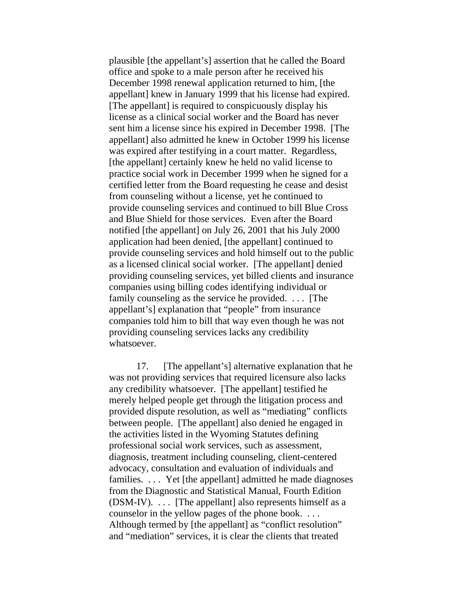plausible [the appellant's] assertion that he called the Board office and spoke to a male person after he received his December 1998 renewal application returned to him, [the appellant] knew in January 1999 that his license had expired. [The appellant] is required to conspicuously display his license as a clinical social worker and the Board has never sent him a license since his expired in December 1998. [The appellant] also admitted he knew in October 1999 his license was expired after testifying in a court matter. Regardless, [the appellant] certainly knew he held no valid license to practice social work in December 1999 when he signed for a certified letter from the Board requesting he cease and desist from counseling without a license, yet he continued to provide counseling services and continued to bill Blue Cross and Blue Shield for those services. Even after the Board notified [the appellant] on July 26, 2001 that his July 2000 application had been denied, [the appellant] continued to provide counseling services and hold himself out to the public as a licensed clinical social worker. [The appellant] denied providing counseling services, yet billed clients and insurance companies using billing codes identifying individual or family counseling as the service he provided. . . . [The appellant's] explanation that "people" from insurance companies told him to bill that way even though he was not providing counseling services lacks any credibility whatsoever.

17. [The appellant's] alternative explanation that he was not providing services that required licensure also lacks any credibility whatsoever. [The appellant] testified he merely helped people get through the litigation process and provided dispute resolution, as well as "mediating" conflicts between people. [The appellant] also denied he engaged in the activities listed in the Wyoming Statutes defining professional social work services, such as assessment, diagnosis, treatment including counseling, client-centered advocacy, consultation and evaluation of individuals and families. . . . Yet [the appellant] admitted he made diagnoses from the Diagnostic and Statistical Manual, Fourth Edition  $(DSM-IV)$ . ... [The appellant] also represents himself as a counselor in the yellow pages of the phone book. . . . Although termed by [the appellant] as "conflict resolution" and "mediation" services, it is clear the clients that treated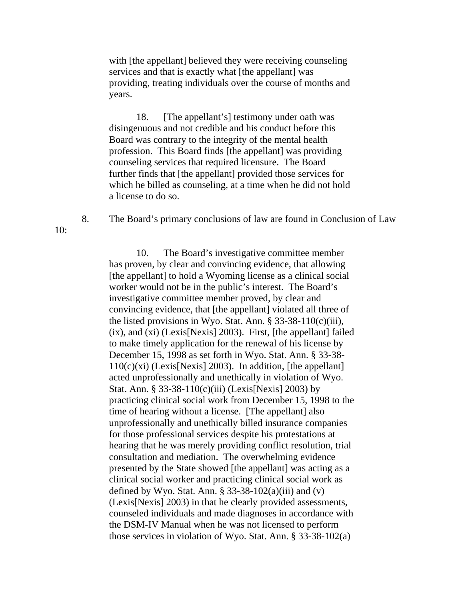with [the appellant] believed they were receiving counseling services and that is exactly what [the appellant] was providing, treating individuals over the course of months and years.

18. [The appellant's] testimony under oath was disingenuous and not credible and his conduct before this Board was contrary to the integrity of the mental health profession. This Board finds [the appellant] was providing counseling services that required licensure. The Board further finds that [the appellant] provided those services for which he billed as counseling, at a time when he did not hold a license to do so.

 $10:$ 

8. The Board's primary conclusions of law are found in Conclusion of Law

 10. The Board's investigative committee member has proven, by clear and convincing evidence, that allowing [the appellant] to hold a Wyoming license as a clinical social worker would not be in the public's interest. The Board's investigative committee member proved, by clear and convincing evidence, that [the appellant] violated all three of the listed provisions in Wyo. Stat. Ann.  $\S$  33-38-110(c)(iii), (ix), and (xi) (Lexis[Nexis] 2003). First, [the appellant] failed to make timely application for the renewal of his license by December 15, 1998 as set forth in Wyo. Stat. Ann. § 33-38-  $110(c)(xi)$  (Lexis[Nexis] 2003). In addition, [the appellant] acted unprofessionally and unethically in violation of Wyo. Stat. Ann. § 33-38-110(c)(iii) (Lexis[Nexis] 2003) by practicing clinical social work from December 15, 1998 to the time of hearing without a license. [The appellant] also unprofessionally and unethically billed insurance companies for those professional services despite his protestations at hearing that he was merely providing conflict resolution, trial consultation and mediation. The overwhelming evidence presented by the State showed [the appellant] was acting as a clinical social worker and practicing clinical social work as defined by Wyo. Stat. Ann.  $\S$  33-38-102(a)(iii) and (v) (Lexis[Nexis] 2003) in that he clearly provided assessments, counseled individuals and made diagnoses in accordance with the DSM-IV Manual when he was not licensed to perform those services in violation of Wyo. Stat. Ann. § 33-38-102(a)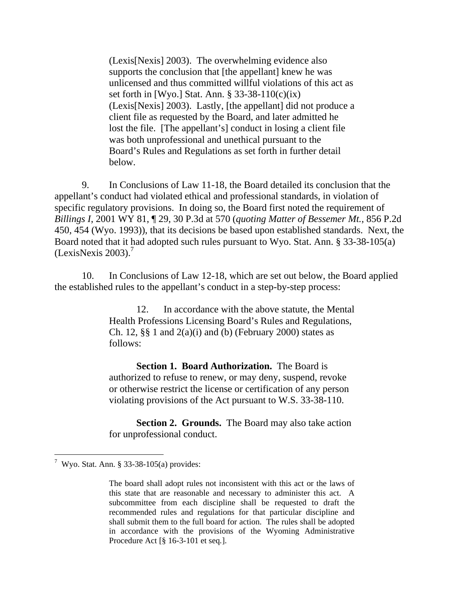(Lexis[Nexis] 2003). The overwhelming evidence also supports the conclusion that [the appellant] knew he was unlicensed and thus committed willful violations of this act as set forth in [Wyo.] Stat. Ann. § 33-38-110(c)(ix) (Lexis[Nexis] 2003). Lastly, [the appellant] did not produce a client file as requested by the Board, and later admitted he lost the file. [The appellant's] conduct in losing a client file was both unprofessional and unethical pursuant to the Board's Rules and Regulations as set forth in further detail below.

 9. In Conclusions of Law 11-18, the Board detailed its conclusion that the appellant's conduct had violated ethical and professional standards, in violation of specific regulatory provisions. In doing so, the Board first noted the requirement of *Billings I*, 2001 WY 81, ¶ 29, 30 P.3d at 570 (*quoting Matter of Bessemer Mt.*, 856 P.2d 450, 454 (Wyo. 1993)), that its decisions be based upon established standards. Next, the Board noted that it had adopted such rules pursuant to Wyo. Stat. Ann. § 33-38-105(a)  $(LexisNexis 2003).<sup>7</sup>$  $(LexisNexis 2003).<sup>7</sup>$  $(LexisNexis 2003).<sup>7</sup>$ 

10. In Conclusions of Law 12-18, which are set out below, the Board applied the established rules to the appellant's conduct in a step-by-step process:

> 12. In accordance with the above statute, the Mental Health Professions Licensing Board's Rules and Regulations, Ch. 12,  $\S$  $\S$  1 and  $2(a)(i)$  and (b) (February 2000) states as follows:

**Section 1. Board Authorization.** The Board is authorized to refuse to renew, or may deny, suspend, revoke or otherwise restrict the license or certification of any person violating provisions of the Act pursuant to W.S. 33-38-110.

**Section 2. Grounds.** The Board may also take action for unprofessional conduct.

 $\overline{a}$ 

<span id="page-19-0"></span><sup>&</sup>lt;sup>7</sup> Wyo. Stat. Ann. § 33-38-105(a) provides:

The board shall adopt rules not inconsistent with this act or the laws of this state that are reasonable and necessary to administer this act. A subcommittee from each discipline shall be requested to draft the recommended rules and regulations for that particular discipline and shall submit them to the full board for action. The rules shall be adopted in accordance with the provisions of the Wyoming Administrative Procedure Act [§ 16-3-101 et seq*.*].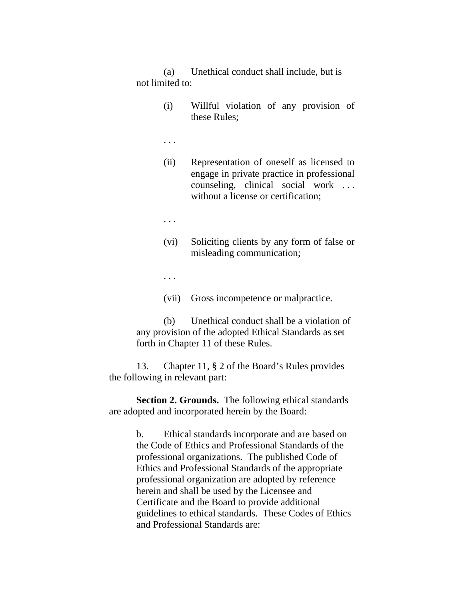(a) Unethical conduct shall include, but is not limited to:

> (i) Willful violation of any provision of these Rules;

. . .

- (ii) Representation of oneself as licensed to engage in private practice in professional counseling, clinical social work . . . without a license or certification;
- . . .
- (vi) Soliciting clients by any form of false or misleading communication;

. . .

(vii) Gross incompetence or malpractice.

 (b) Unethical conduct shall be a violation of any provision of the adopted Ethical Standards as set forth in Chapter 11 of these Rules.

 13. Chapter 11, § 2 of the Board's Rules provides the following in relevant part:

**Section 2. Grounds.** The following ethical standards are adopted and incorporated herein by the Board:

> b. Ethical standards incorporate and are based on the Code of Ethics and Professional Standards of the professional organizations. The published Code of Ethics and Professional Standards of the appropriate professional organization are adopted by reference herein and shall be used by the Licensee and Certificate and the Board to provide additional guidelines to ethical standards. These Codes of Ethics and Professional Standards are: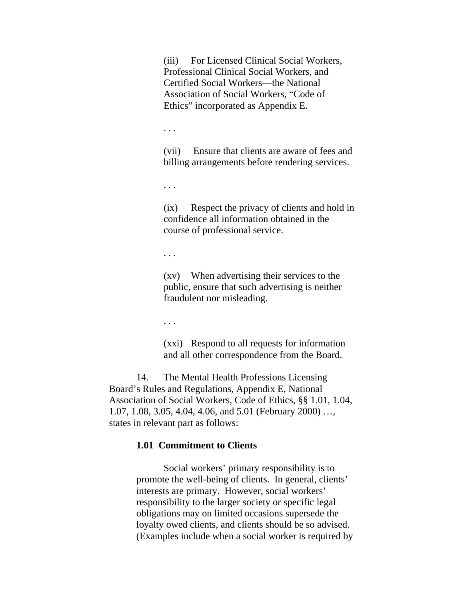(iii) For Licensed Clinical Social Workers, Professional Clinical Social Workers, and Certified Social Workers—the National Association of Social Workers, "Code of Ethics" incorporated as Appendix E.

. . .

(vii) Ensure that clients are aware of fees and billing arrangements before rendering services.

. . .

(ix) Respect the privacy of clients and hold in confidence all information obtained in the course of professional service.

. . .

(xv) When advertising their services to the public, ensure that such advertising is neither fraudulent nor misleading.

. . .

(xxi) Respond to all requests for information and all other correspondence from the Board.

 14. The Mental Health Professions Licensing Board's Rules and Regulations, Appendix E, National Association of Social Workers, Code of Ethics, §§ 1.01, 1.04, 1.07, 1.08, 3.05, 4.04, 4.06, and 5.01 (February 2000) …, states in relevant part as follows:

#### **1.01 Commitment to Clients**

Social workers' primary responsibility is to promote the well-being of clients. In general, clients' interests are primary. However, social workers' responsibility to the larger society or specific legal obligations may on limited occasions supersede the loyalty owed clients, and clients should be so advised. (Examples include when a social worker is required by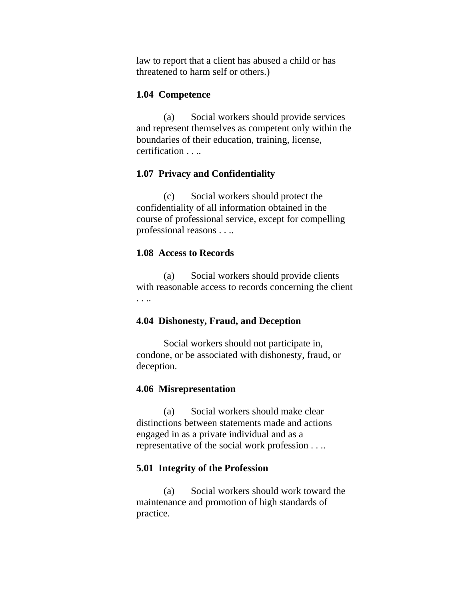law to report that a client has abused a child or has threatened to harm self or others.)

#### **1.04 Competence**

 (a) Social workers should provide services and represent themselves as competent only within the boundaries of their education, training, license, certification . . ..

#### **1.07 Privacy and Confidentiality**

 (c) Social workers should protect the confidentiality of all information obtained in the course of professional service, except for compelling professional reasons . . ..

#### **1.08 Access to Records**

 (a) Social workers should provide clients with reasonable access to records concerning the client . . ..

#### **4.04 Dishonesty, Fraud, and Deception**

Social workers should not participate in, condone, or be associated with dishonesty, fraud, or deception.

#### **4.06 Misrepresentation**

 (a) Social workers should make clear distinctions between statements made and actions engaged in as a private individual and as a representative of the social work profession . . ..

#### **5.01 Integrity of the Profession**

 (a) Social workers should work toward the maintenance and promotion of high standards of practice.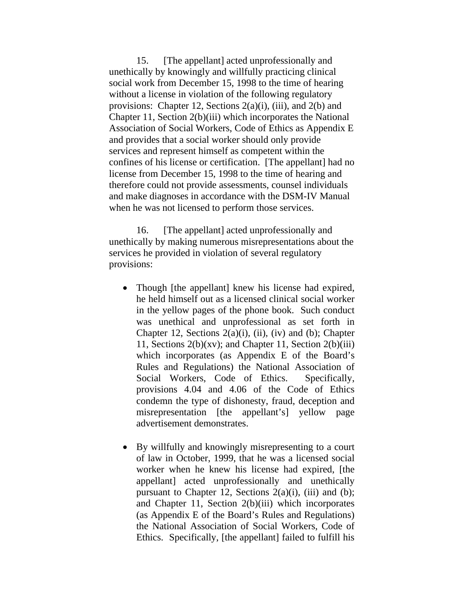15. [The appellant] acted unprofessionally and unethically by knowingly and willfully practicing clinical social work from December 15, 1998 to the time of hearing without a license in violation of the following regulatory provisions: Chapter 12, Sections 2(a)(i), (iii), and 2(b) and Chapter 11, Section 2(b)(iii) which incorporates the National Association of Social Workers, Code of Ethics as Appendix E and provides that a social worker should only provide services and represent himself as competent within the confines of his license or certification. [The appellant] had no license from December 15, 1998 to the time of hearing and therefore could not provide assessments, counsel individuals and make diagnoses in accordance with the DSM-IV Manual when he was not licensed to perform those services.

 16. [The appellant] acted unprofessionally and unethically by making numerous misrepresentations about the services he provided in violation of several regulatory provisions:

- Though [the appellant] knew his license had expired, he held himself out as a licensed clinical social worker in the yellow pages of the phone book. Such conduct was unethical and unprofessional as set forth in Chapter 12, Sections  $2(a)(i)$ , (ii), (iv) and (b); Chapter 11, Sections  $2(b)(xv)$ ; and Chapter 11, Section  $2(b)(iii)$ which incorporates (as Appendix E of the Board's Rules and Regulations) the National Association of Social Workers, Code of Ethics. Specifically, provisions 4.04 and 4.06 of the Code of Ethics condemn the type of dishonesty, fraud, deception and misrepresentation [the appellant's] yellow page advertisement demonstrates.
- By willfully and knowingly misrepresenting to a court of law in October, 1999, that he was a licensed social worker when he knew his license had expired, [the appellant] acted unprofessionally and unethically pursuant to Chapter 12, Sections  $2(a)(i)$ , (iii) and (b); and Chapter 11, Section 2(b)(iii) which incorporates (as Appendix E of the Board's Rules and Regulations) the National Association of Social Workers, Code of Ethics. Specifically, [the appellant] failed to fulfill his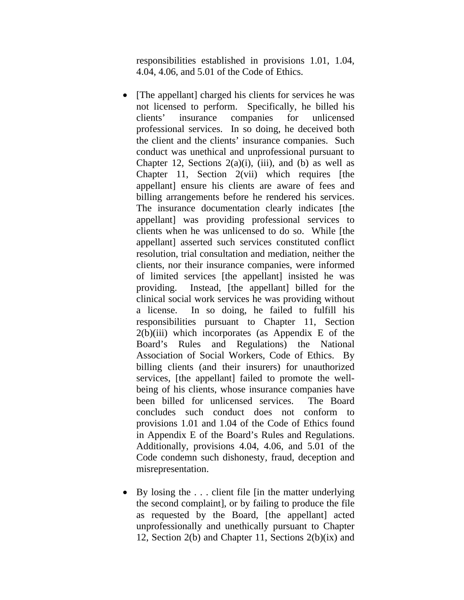responsibilities established in provisions 1.01, 1.04, 4.04, 4.06, and 5.01 of the Code of Ethics.

- [The appellant] charged his clients for services he was not licensed to perform. Specifically, he billed his clients' insurance companies for unlicensed professional services. In so doing, he deceived both the client and the clients' insurance companies. Such conduct was unethical and unprofessional pursuant to Chapter 12, Sections  $2(a)(i)$ , (iii), and (b) as well as Chapter 11, Section  $2(vii)$  which requires [the appellant] ensure his clients are aware of fees and billing arrangements before he rendered his services. The insurance documentation clearly indicates [the appellant] was providing professional services to clients when he was unlicensed to do so. While [the appellant] asserted such services constituted conflict resolution, trial consultation and mediation, neither the clients, nor their insurance companies, were informed of limited services [the appellant] insisted he was providing. Instead, [the appellant] billed for the clinical social work services he was providing without a license. In so doing, he failed to fulfill his responsibilities pursuant to Chapter 11, Section  $2(b)(iii)$  which incorporates (as Appendix E of the Board's Rules and Regulations) the National Association of Social Workers, Code of Ethics. By billing clients (and their insurers) for unauthorized services, [the appellant] failed to promote the wellbeing of his clients, whose insurance companies have been billed for unlicensed services. The Board concludes such conduct does not conform to provisions 1.01 and 1.04 of the Code of Ethics found in Appendix E of the Board's Rules and Regulations. Additionally, provisions 4.04, 4.06, and 5.01 of the Code condemn such dishonesty, fraud, deception and misrepresentation.
- By losing the ... client file [in the matter underlying] the second complaint], or by failing to produce the file as requested by the Board, [the appellant] acted unprofessionally and unethically pursuant to Chapter 12, Section 2(b) and Chapter 11, Sections 2(b)(ix) and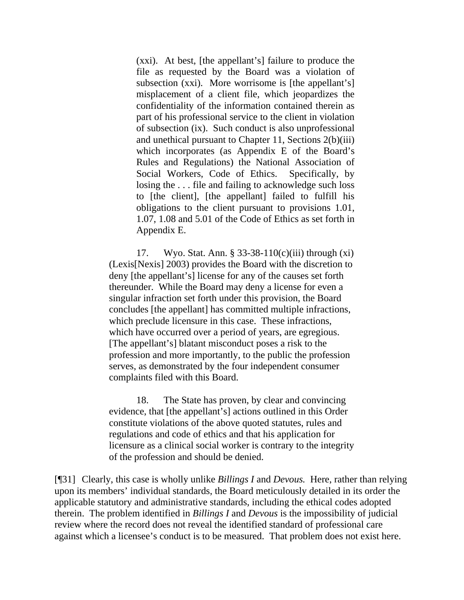(xxi). At best, [the appellant's] failure to produce the file as requested by the Board was a violation of subsection (xxi). More worrisome is [the appellant's] misplacement of a client file, which jeopardizes the confidentiality of the information contained therein as part of his professional service to the client in violation of subsection (ix). Such conduct is also unprofessional and unethical pursuant to Chapter 11, Sections 2(b)(iii) which incorporates (as Appendix E of the Board's Rules and Regulations) the National Association of Social Workers, Code of Ethics. Specifically, by losing the . . . file and failing to acknowledge such loss to [the client], [the appellant] failed to fulfill his obligations to the client pursuant to provisions 1.01, 1.07, 1.08 and 5.01 of the Code of Ethics as set forth in Appendix E.

 17. Wyo. Stat. Ann. § 33-38-110(c)(iii) through (xi) (Lexis[Nexis] 2003) provides the Board with the discretion to deny [the appellant's] license for any of the causes set forth thereunder. While the Board may deny a license for even a singular infraction set forth under this provision, the Board concludes [the appellant] has committed multiple infractions, which preclude licensure in this case. These infractions, which have occurred over a period of years, are egregious. [The appellant's] blatant misconduct poses a risk to the profession and more importantly, to the public the profession serves, as demonstrated by the four independent consumer complaints filed with this Board.

 18. The State has proven, by clear and convincing evidence, that [the appellant's] actions outlined in this Order constitute violations of the above quoted statutes, rules and regulations and code of ethics and that his application for licensure as a clinical social worker is contrary to the integrity of the profession and should be denied.

[¶31] Clearly, this case is wholly unlike *Billings I* and *Devous.* Here, rather than relying upon its members' individual standards, the Board meticulously detailed in its order the applicable statutory and administrative standards, including the ethical codes adopted therein. The problem identified in *Billings I* and *Devous* is the impossibility of judicial review where the record does not reveal the identified standard of professional care against which a licensee's conduct is to be measured. That problem does not exist here.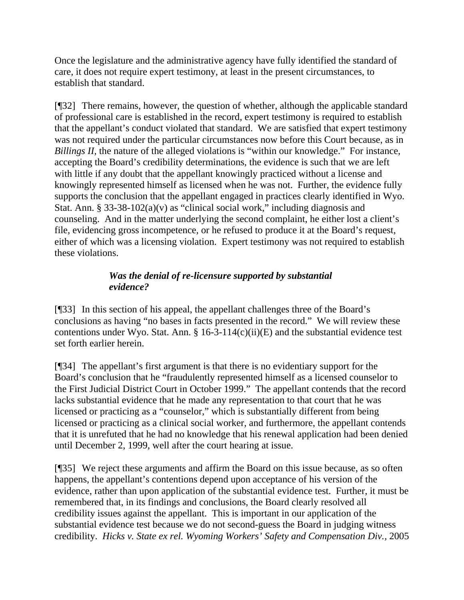Once the legislature and the administrative agency have fully identified the standard of care, it does not require expert testimony, at least in the present circumstances, to establish that standard.

[¶32] There remains, however, the question of whether, although the applicable standard of professional care is established in the record, expert testimony is required to establish that the appellant's conduct violated that standard. We are satisfied that expert testimony was not required under the particular circumstances now before this Court because, as in *Billings II,* the nature of the alleged violations is "within our knowledge." For instance, accepting the Board's credibility determinations, the evidence is such that we are left with little if any doubt that the appellant knowingly practiced without a license and knowingly represented himself as licensed when he was not. Further, the evidence fully supports the conclusion that the appellant engaged in practices clearly identified in Wyo. Stat. Ann. § 33-38-102(a)(v) as "clinical social work," including diagnosis and counseling. And in the matter underlying the second complaint, he either lost a client's file, evidencing gross incompetence, or he refused to produce it at the Board's request, either of which was a licensing violation. Expert testimony was not required to establish these violations.

# *Was the denial of re-licensure supported by substantial evidence?*

[¶33] In this section of his appeal, the appellant challenges three of the Board's conclusions as having "no bases in facts presented in the record." We will review these contentions under Wyo. Stat. Ann. § 16-3-114(c)(ii)(E) and the substantial evidence test set forth earlier herein.

[¶34] The appellant's first argument is that there is no evidentiary support for the Board's conclusion that he "fraudulently represented himself as a licensed counselor to the First Judicial District Court in October 1999." The appellant contends that the record lacks substantial evidence that he made any representation to that court that he was licensed or practicing as a "counselor," which is substantially different from being licensed or practicing as a clinical social worker, and furthermore, the appellant contends that it is unrefuted that he had no knowledge that his renewal application had been denied until December 2, 1999, well after the court hearing at issue.

[¶35] We reject these arguments and affirm the Board on this issue because, as so often happens, the appellant's contentions depend upon acceptance of his version of the evidence, rather than upon application of the substantial evidence test. Further, it must be remembered that, in its findings and conclusions, the Board clearly resolved all credibility issues against the appellant. This is important in our application of the substantial evidence test because we do not second-guess the Board in judging witness credibility. *Hicks v. State ex rel. Wyoming Workers' Safety and Compensation Div.,* 2005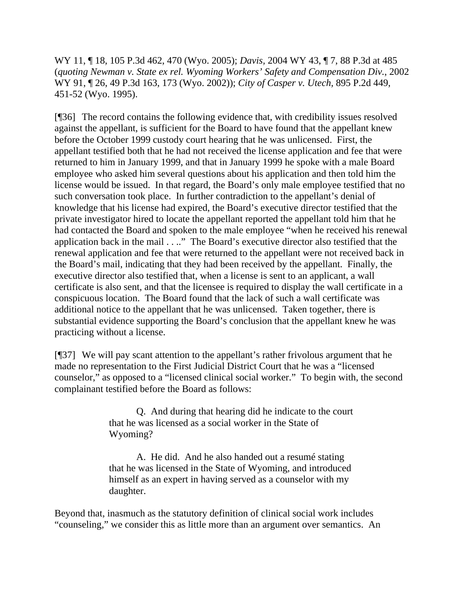WY 11, ¶ 18, 105 P.3d 462, 470 (Wyo. 2005); *Davis,* 2004 WY 43, ¶ 7, 88 P.3d at 485 (*quoting Newman v. State ex rel. Wyoming Workers' Safety and Compensation Div.*, 2002 WY 91, ¶ 26, 49 P.3d 163, 173 (Wyo. 2002)); *City of Casper v. Utech,* 895 P.2d 449, 451-52 (Wyo. 1995).

[¶36] The record contains the following evidence that, with credibility issues resolved against the appellant, is sufficient for the Board to have found that the appellant knew before the October 1999 custody court hearing that he was unlicensed. First, the appellant testified both that he had not received the license application and fee that were returned to him in January 1999, and that in January 1999 he spoke with a male Board employee who asked him several questions about his application and then told him the license would be issued. In that regard, the Board's only male employee testified that no such conversation took place. In further contradiction to the appellant's denial of knowledge that his license had expired, the Board's executive director testified that the private investigator hired to locate the appellant reported the appellant told him that he had contacted the Board and spoken to the male employee "when he received his renewal application back in the mail . . .." The Board's executive director also testified that the renewal application and fee that were returned to the appellant were not received back in the Board's mail, indicating that they had been received by the appellant. Finally, the executive director also testified that, when a license is sent to an applicant, a wall certificate is also sent, and that the licensee is required to display the wall certificate in a conspicuous location. The Board found that the lack of such a wall certificate was additional notice to the appellant that he was unlicensed. Taken together, there is substantial evidence supporting the Board's conclusion that the appellant knew he was practicing without a license.

[¶37] We will pay scant attention to the appellant's rather frivolous argument that he made no representation to the First Judicial District Court that he was a "licensed counselor," as opposed to a "licensed clinical social worker." To begin with, the second complainant testified before the Board as follows:

> Q. And during that hearing did he indicate to the court that he was licensed as a social worker in the State of Wyoming?

> A. He did. And he also handed out a resumé stating that he was licensed in the State of Wyoming, and introduced himself as an expert in having served as a counselor with my daughter.

Beyond that, inasmuch as the statutory definition of clinical social work includes "counseling," we consider this as little more than an argument over semantics. An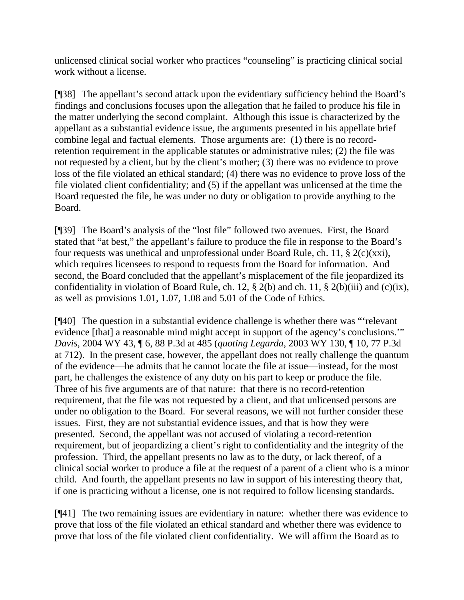unlicensed clinical social worker who practices "counseling" is practicing clinical social work without a license.

[¶38] The appellant's second attack upon the evidentiary sufficiency behind the Board's findings and conclusions focuses upon the allegation that he failed to produce his file in the matter underlying the second complaint. Although this issue is characterized by the appellant as a substantial evidence issue, the arguments presented in his appellate brief combine legal and factual elements. Those arguments are: (1) there is no recordretention requirement in the applicable statutes or administrative rules; (2) the file was not requested by a client, but by the client's mother; (3) there was no evidence to prove loss of the file violated an ethical standard; (4) there was no evidence to prove loss of the file violated client confidentiality; and (5) if the appellant was unlicensed at the time the Board requested the file, he was under no duty or obligation to provide anything to the Board.

[¶39] The Board's analysis of the "lost file" followed two avenues. First, the Board stated that "at best," the appellant's failure to produce the file in response to the Board's four requests was unethical and unprofessional under Board Rule, ch. 11, § 2(c)(xxi), which requires licensees to respond to requests from the Board for information. And second, the Board concluded that the appellant's misplacement of the file jeopardized its confidentiality in violation of Board Rule, ch. 12, § 2(b) and ch. 11, § 2(b)(iii) and (c)(ix), as well as provisions 1.01, 1.07, 1.08 and 5.01 of the Code of Ethics*.* 

[¶40] The question in a substantial evidence challenge is whether there was "'relevant evidence [that] a reasonable mind might accept in support of the agency's conclusions." *Davis,* 2004 WY 43, ¶ 6, 88 P.3d at 485 (*quoting Legarda*, 2003 WY 130, ¶ 10, 77 P.3d at 712). In the present case, however, the appellant does not really challenge the quantum of the evidence—he admits that he cannot locate the file at issue—instead, for the most part, he challenges the existence of any duty on his part to keep or produce the file. Three of his five arguments are of that nature: that there is no record-retention requirement, that the file was not requested by a client, and that unlicensed persons are under no obligation to the Board. For several reasons, we will not further consider these issues. First, they are not substantial evidence issues, and that is how they were presented. Second, the appellant was not accused of violating a record-retention requirement, but of jeopardizing a client's right to confidentiality and the integrity of the profession. Third, the appellant presents no law as to the duty, or lack thereof, of a clinical social worker to produce a file at the request of a parent of a client who is a minor child. And fourth, the appellant presents no law in support of his interesting theory that, if one is practicing without a license, one is not required to follow licensing standards.

[¶41] The two remaining issues are evidentiary in nature: whether there was evidence to prove that loss of the file violated an ethical standard and whether there was evidence to prove that loss of the file violated client confidentiality. We will affirm the Board as to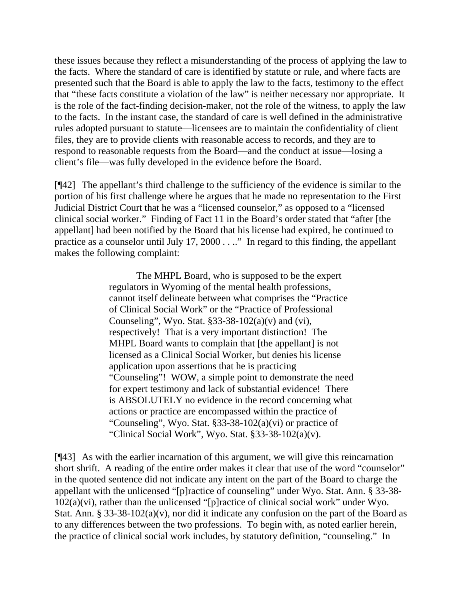these issues because they reflect a misunderstanding of the process of applying the law to the facts. Where the standard of care is identified by statute or rule, and where facts are presented such that the Board is able to apply the law to the facts, testimony to the effect that "these facts constitute a violation of the law" is neither necessary nor appropriate. It is the role of the fact-finding decision-maker, not the role of the witness, to apply the law to the facts. In the instant case, the standard of care is well defined in the administrative rules adopted pursuant to statute—licensees are to maintain the confidentiality of client files, they are to provide clients with reasonable access to records, and they are to respond to reasonable requests from the Board—and the conduct at issue—losing a client's file—was fully developed in the evidence before the Board.

[¶42] The appellant's third challenge to the sufficiency of the evidence is similar to the portion of his first challenge where he argues that he made no representation to the First Judicial District Court that he was a "licensed counselor," as opposed to a "licensed clinical social worker." Finding of Fact 11 in the Board's order stated that "after [the appellant] had been notified by the Board that his license had expired, he continued to practice as a counselor until July 17, 2000 . . .." In regard to this finding, the appellant makes the following complaint:

> The MHPL Board, who is supposed to be the expert regulators in Wyoming of the mental health professions, cannot itself delineate between what comprises the "Practice of Clinical Social Work" or the "Practice of Professional Counseling", Wyo. Stat.  $§$ 33-38-102(a)(v) and (vi), respectively! That is a very important distinction! The MHPL Board wants to complain that [the appellant] is not licensed as a Clinical Social Worker, but denies his license application upon assertions that he is practicing "Counseling"! WOW, a simple point to demonstrate the need for expert testimony and lack of substantial evidence! There is ABSOLUTELY no evidence in the record concerning what actions or practice are encompassed within the practice of "Counseling", Wyo. Stat. §33-38-102(a)(vi) or practice of "Clinical Social Work", Wyo. Stat.  $§$ 33-38-102(a)(v).

[¶43] As with the earlier incarnation of this argument, we will give this reincarnation short shrift. A reading of the entire order makes it clear that use of the word "counselor" in the quoted sentence did not indicate any intent on the part of the Board to charge the appellant with the unlicensed "[p]ractice of counseling" under Wyo. Stat. Ann. § 33-38- 102(a)(vi), rather than the unlicensed "[p]ractice of clinical social work" under Wyo. Stat. Ann. § 33-38-102(a)(v), nor did it indicate any confusion on the part of the Board as to any differences between the two professions. To begin with, as noted earlier herein, the practice of clinical social work includes, by statutory definition, "counseling." In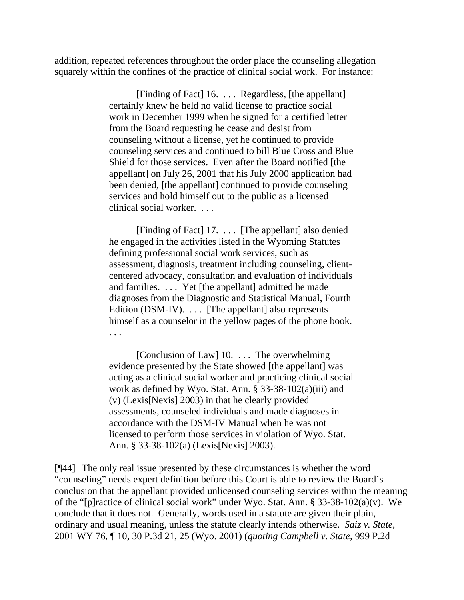addition, repeated references throughout the order place the counseling allegation squarely within the confines of the practice of clinical social work. For instance:

> [Finding of Fact] 16. . . . Regardless, [the appellant] certainly knew he held no valid license to practice social work in December 1999 when he signed for a certified letter from the Board requesting he cease and desist from counseling without a license, yet he continued to provide counseling services and continued to bill Blue Cross and Blue Shield for those services. Even after the Board notified [the appellant] on July 26, 2001 that his July 2000 application had been denied, [the appellant] continued to provide counseling services and hold himself out to the public as a licensed clinical social worker. . . .

> [Finding of Fact] 17. . . . [The appellant] also denied he engaged in the activities listed in the Wyoming Statutes defining professional social work services, such as assessment, diagnosis, treatment including counseling, clientcentered advocacy, consultation and evaluation of individuals and families. . . . Yet [the appellant] admitted he made diagnoses from the Diagnostic and Statistical Manual, Fourth Edition (DSM-IV).  $\ldots$  [The appellant] also represents himself as a counselor in the yellow pages of the phone book. . . .

> [Conclusion of Law] 10. ... The overwhelming evidence presented by the State showed [the appellant] was acting as a clinical social worker and practicing clinical social work as defined by Wyo. Stat. Ann. § 33-38-102(a)(iii) and (v) (Lexis[Nexis] 2003) in that he clearly provided assessments, counseled individuals and made diagnoses in accordance with the DSM-IV Manual when he was not licensed to perform those services in violation of Wyo. Stat. Ann. § 33-38-102(a) (Lexis[Nexis] 2003).

[¶44] The only real issue presented by these circumstances is whether the word "counseling" needs expert definition before this Court is able to review the Board's conclusion that the appellant provided unlicensed counseling services within the meaning of the "[p]ractice of clinical social work" under Wyo. Stat. Ann. § 33-38-102(a)(v). We conclude that it does not. Generally, words used in a statute are given their plain, ordinary and usual meaning, unless the statute clearly intends otherwise. *Saiz v. State,*  2001 WY 76, ¶ 10, 30 P.3d 21, 25 (Wyo. 2001) (*quoting Campbell v. State*, 999 P.2d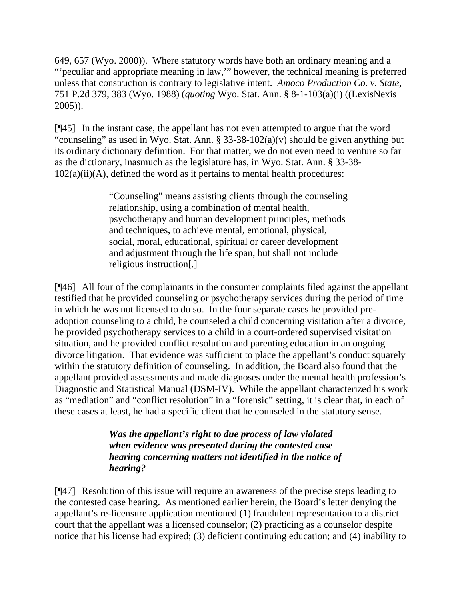649, 657 (Wyo. 2000)). Where statutory words have both an ordinary meaning and a "'peculiar and appropriate meaning in law,'" however, the technical meaning is preferred unless that construction is contrary to legislative intent. *Amoco Production Co. v. State,*  751 P.2d 379, 383 (Wyo. 1988) (*quoting* Wyo. Stat. Ann. § 8-1-103(a)(i) ((LexisNexis 2005)).

[¶45] In the instant case, the appellant has not even attempted to argue that the word "counseling" as used in Wyo. Stat. Ann.  $\S$  33-38-102(a)(v) should be given anything but its ordinary dictionary definition. For that matter, we do not even need to venture so far as the dictionary, inasmuch as the legislature has, in Wyo. Stat. Ann. § 33-38-  $102(a)(ii)(A)$ , defined the word as it pertains to mental health procedures:

> "Counseling" means assisting clients through the counseling relationship, using a combination of mental health, psychotherapy and human development principles, methods and techniques, to achieve mental, emotional, physical, social, moral, educational, spiritual or career development and adjustment through the life span, but shall not include religious instruction[.]

[¶46] All four of the complainants in the consumer complaints filed against the appellant testified that he provided counseling or psychotherapy services during the period of time in which he was not licensed to do so. In the four separate cases he provided preadoption counseling to a child, he counseled a child concerning visitation after a divorce, he provided psychotherapy services to a child in a court-ordered supervised visitation situation, and he provided conflict resolution and parenting education in an ongoing divorce litigation. That evidence was sufficient to place the appellant's conduct squarely within the statutory definition of counseling. In addition, the Board also found that the appellant provided assessments and made diagnoses under the mental health profession's Diagnostic and Statistical Manual (DSM-IV). While the appellant characterized his work as "mediation" and "conflict resolution" in a "forensic" setting, it is clear that, in each of these cases at least, he had a specific client that he counseled in the statutory sense.

> *Was the appellant's right to due process of law violated when evidence was presented during the contested case hearing concerning matters not identified in the notice of hearing?*

[¶47] Resolution of this issue will require an awareness of the precise steps leading to the contested case hearing. As mentioned earlier herein, the Board's letter denying the appellant's re-licensure application mentioned (1) fraudulent representation to a district court that the appellant was a licensed counselor; (2) practicing as a counselor despite notice that his license had expired; (3) deficient continuing education; and (4) inability to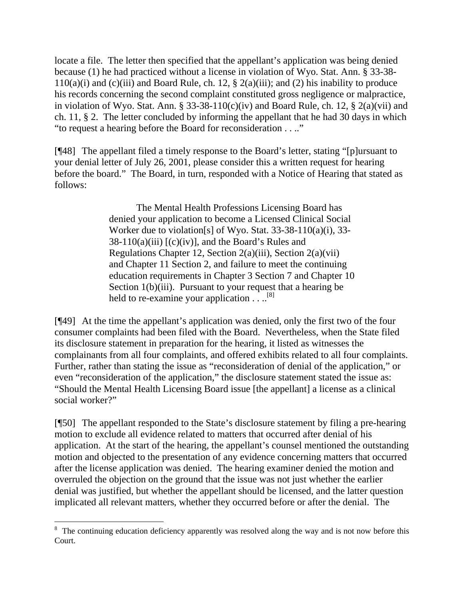locate a file. The letter then specified that the appellant's application was being denied because (1) he had practiced without a license in violation of Wyo. Stat. Ann. § 33-38-  $110(a)(i)$  and  $(c)(iii)$  and Board Rule, ch. 12, § 2(a)(iii); and (2) his inability to produce his records concerning the second complaint constituted gross negligence or malpractice, in violation of Wyo. Stat. Ann. § 33-38-110(c)(iv) and Board Rule, ch. 12, § 2(a)(vii) and ch. 11, § 2. The letter concluded by informing the appellant that he had 30 days in which "to request a hearing before the Board for reconsideration . . .."

[¶48] The appellant filed a timely response to the Board's letter, stating "[p]ursuant to your denial letter of July 26, 2001, please consider this a written request for hearing before the board." The Board, in turn, responded with a Notice of Hearing that stated as follows:

> The Mental Health Professions Licensing Board has denied your application to become a Licensed Clinical Social Worker due to violation[s] of Wyo. Stat. 33-38-110(a)(i), 33-  $38-110(a)(iii)$  [(c)(iv)], and the Board's Rules and Regulations Chapter 12, Section 2(a)(iii), Section 2(a)(vii) and Chapter 11 Section 2, and failure to meet the continuing education requirements in Chapter 3 Section 7 and Chapter 10 Section 1(b)(iii). Pursuant to your request that a hearing be held to re-examine your application  $\dots$ <sup>[8]</sup>

[¶49] At the time the appellant's application was denied, only the first two of the four consumer complaints had been filed with the Board. Nevertheless, when the State filed its disclosure statement in preparation for the hearing, it listed as witnesses the complainants from all four complaints, and offered exhibits related to all four complaints. Further, rather than stating the issue as "reconsideration of denial of the application," or even "reconsideration of the application," the disclosure statement stated the issue as: "Should the Mental Health Licensing Board issue [the appellant] a license as a clinical social worker?"

[¶50] The appellant responded to the State's disclosure statement by filing a pre-hearing motion to exclude all evidence related to matters that occurred after denial of his application. At the start of the hearing, the appellant's counsel mentioned the outstanding motion and objected to the presentation of any evidence concerning matters that occurred after the license application was denied. The hearing examiner denied the motion and overruled the objection on the ground that the issue was not just whether the earlier denial was justified, but whether the appellant should be licensed, and the latter question implicated all relevant matters, whether they occurred before or after the denial. The

 $\overline{a}$ 

<span id="page-32-0"></span><sup>&</sup>lt;sup>8</sup> The continuing education deficiency apparently was resolved along the way and is not now before this Court.